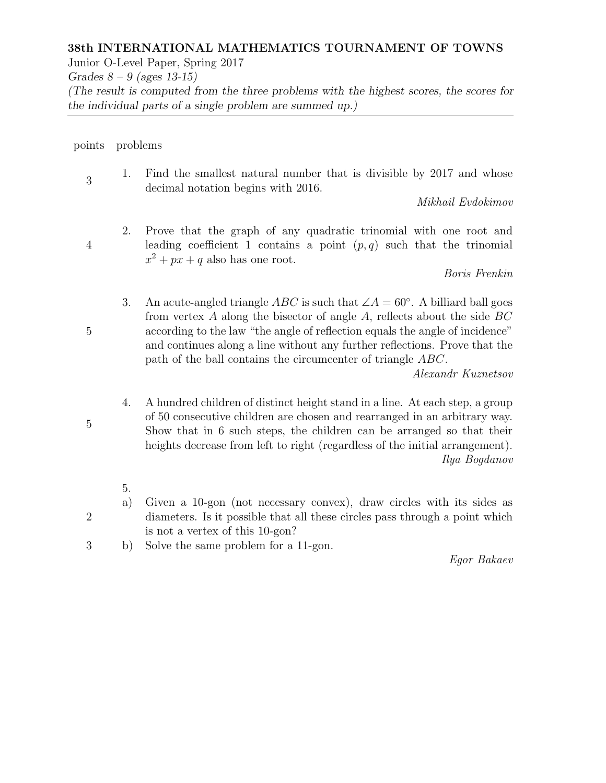## 38th INTERNATIONAL MATHEMATICS TOURNAMENT OF TOWNS

Junior O-Level Paper, Spring 2017

Grades  $8 - 9$  (ages 13-15)

(The result is computed from the three problems with the highest scores, the scores for the individual parts of a single problem are summed up.)

points problems

1. Find the smallest natural number that is divisible by 2017 and whose decimal notation begins with 2016.

Mikhail Evdokimov

2. Prove that the graph of any quadratic trinomial with one root and leading coefficient 1 contains a point  $(p, q)$  such that the trinomial  $x^2 + px + q$  also has one root.

Boris Frenkin

3. An acute-angled triangle  $ABC$  is such that  $\angle A = 60^\circ$ . A billiard ball goes from vertex A along the bisector of angle A, reflects about the side  $BC$ according to the law "the angle of reflection equals the angle of incidence" and continues along a line without any further reflections. Prove that the path of the ball contains the circumcenter of triangle ABC.

Alexandr Kuznetsov

- 4. A hundred children of distinct height stand in a line. At each step, a group of 50 consecutive children are chosen and rearranged in an arbitrary way. Show that in 6 such steps, the children can be arranged so that their heights decrease from left to right (regardless of the initial arrangement). Ilya Bogdanov
- 5.
- a) Given a 10-gon (not necessary convex), draw circles with its sides as diameters. Is it possible that all these circles pass through a point which is not a vertex of this 10-gon?
- 3 b) Solve the same problem for a 11-gon.

Egor Bakaev

5

5

2

3

4